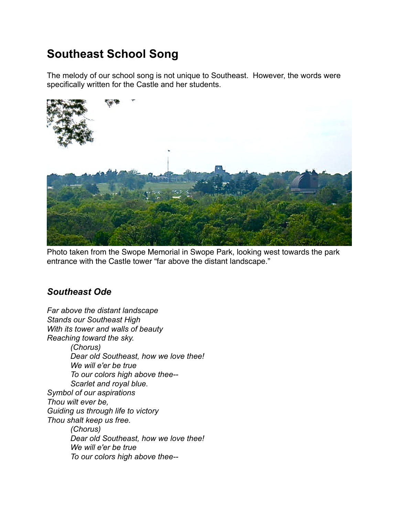## **Southeast School Song**

The melody of our school song is not unique to Southeast. However, the words were specifically written for the Castle and her students.



Photo taken from the Swope Memorial in Swope Park, looking west towards the park entrance with the Castle tower "far above the distant landscape."

## *Southeast Ode*

*Far above the distant landscape Stands our Southeast High With its tower and walls of beauty Reaching toward the sky. (Chorus) Dear old Southeast, how we love thee! We will e'er be true To our colors high above thee-- Scarlet and royal blue. Symbol of our aspirations Thou wilt ever be, Guiding us through life to victory Thou shalt keep us free. (Chorus) Dear old Southeast, how we love thee! We will e'er be true To our colors high above thee--*